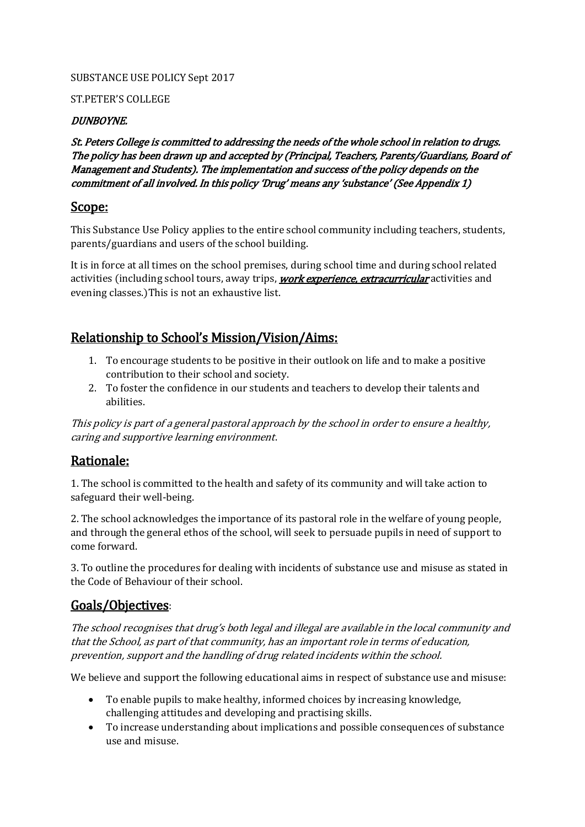### SUBSTANCE USE POLICY Sept 2017

### ST.PETER'S COLLEGE

### DUNBOYNE.

St. Peters College is committed to addressing the needs of the whole school in relation to drugs. The policy has been drawn up and accepted by (Principal, Teachers, Parents/Guardians, Board of Management and Students). The implementation and success of the policy depends on the commitment of all involved. In this policy 'Drug' means any 'substance' (See Appendix 1)

# Scope:

This Substance Use Policy applies to the entire school community including teachers, students, parents/guardians and users of the school building.

It is in force at all times on the school premises, during school time and during school related activities (including school tours, away trips, **work experience, extracurricular** activities and evening classes.)This is not an exhaustive list.

# Relationship to School's Mission/Vision/Aims:

- 1. To encourage students to be positive in their outlook on life and to make a positive contribution to their school and society.
- 2. To foster the confidence in our students and teachers to develop their talents and abilities.

This policy is part of a general pastoral approach by the school in order to ensure a healthy, caring and supportive learning environment.

# Rationale:

1. The school is committed to the health and safety of its community and will take action to safeguard their well-being.

2. The school acknowledges the importance of its pastoral role in the welfare of young people, and through the general ethos of the school, will seek to persuade pupils in need of support to come forward.

3. To outline the procedures for dealing with incidents of substance use and misuse as stated in the Code of Behaviour of their school.

# Goals/Objectives:

The school recognises that drug's both legal and illegal are available in the local community and that the School, as part of that community, has an important role in terms of education, prevention, support and the handling of drug related incidents within the school.

We believe and support the following educational aims in respect of substance use and misuse:

- To enable pupils to make healthy, informed choices by increasing knowledge, challenging attitudes and developing and practising skills.
- To increase understanding about implications and possible consequences of substance use and misuse.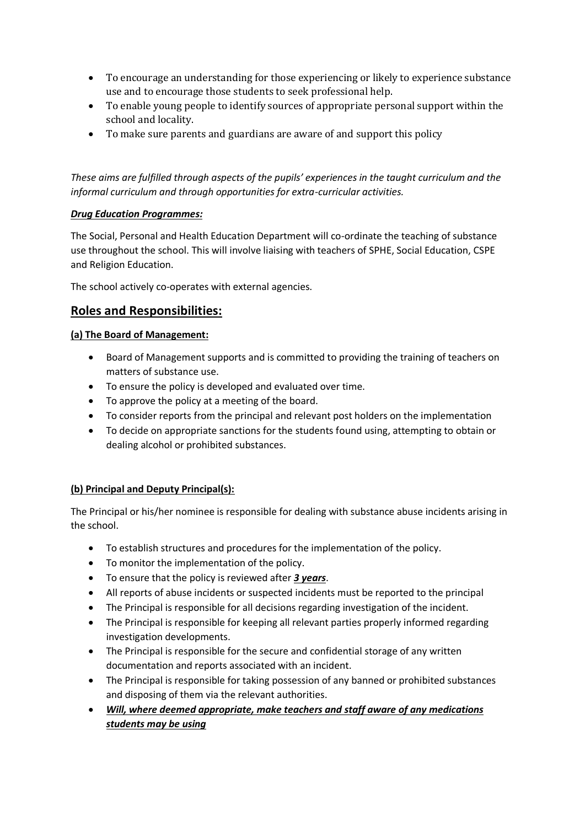- To encourage an understanding for those experiencing or likely to experience substance use and to encourage those students to seek professional help.
- To enable young people to identify sources of appropriate personal support within the school and locality.
- To make sure parents and guardians are aware of and support this policy

*These aims are fulfilled through aspects of the pupils' experiences in the taught curriculum and the informal curriculum and through opportunities for extra-curricular activities.*

### *Drug Education Programmes:*

The Social, Personal and Health Education Department will co-ordinate the teaching of substance use throughout the school. This will involve liaising with teachers of SPHE, Social Education, CSPE and Religion Education.

The school actively co-operates with external agencies.

### **Roles and Responsibilities:**

#### **(a) The Board of Management:**

- Board of Management supports and is committed to providing the training of teachers on matters of substance use.
- To ensure the policy is developed and evaluated over time.
- To approve the policy at a meeting of the board.
- To consider reports from the principal and relevant post holders on the implementation
- To decide on appropriate sanctions for the students found using, attempting to obtain or dealing alcohol or prohibited substances.

### **(b) Principal and Deputy Principal(s):**

The Principal or his/her nominee is responsible for dealing with substance abuse incidents arising in the school.

- To establish structures and procedures for the implementation of the policy.
- To monitor the implementation of the policy.
- To ensure that the policy is reviewed after *3 years*.
- All reports of abuse incidents or suspected incidents must be reported to the principal
- The Principal is responsible for all decisions regarding investigation of the incident.
- The Principal is responsible for keeping all relevant parties properly informed regarding investigation developments.
- The Principal is responsible for the secure and confidential storage of any written documentation and reports associated with an incident.
- The Principal is responsible for taking possession of any banned or prohibited substances and disposing of them via the relevant authorities.
- *Will, where deemed appropriate, make teachers and staff aware of any medications students may be using*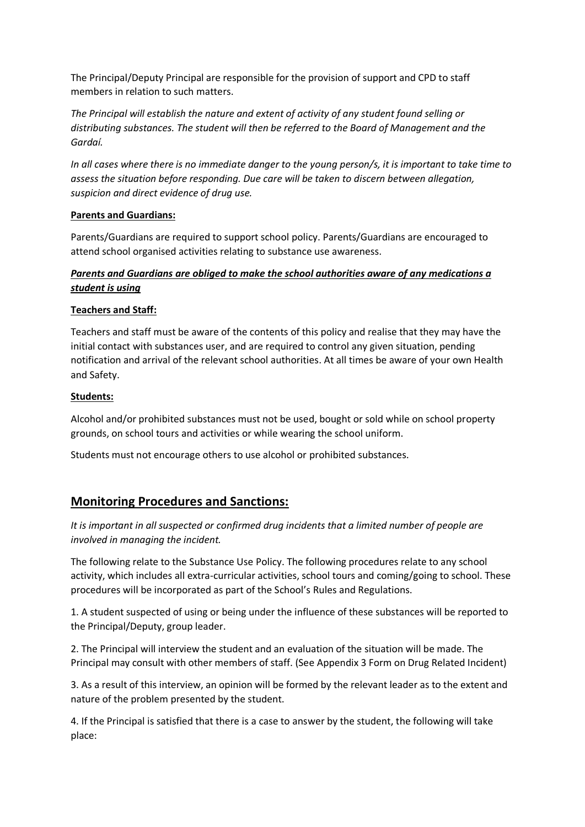The Principal/Deputy Principal are responsible for the provision of support and CPD to staff members in relation to such matters.

*The Principal will establish the nature and extent of activity of any student found selling or distributing substances. The student will then be referred to the Board of Management and the Gardaí.*

*In all cases where there is no immediate danger to the young person/s, it is important to take time to assess the situation before responding. Due care will be taken to discern between allegation, suspicion and direct evidence of drug use.*

#### **Parents and Guardians:**

Parents/Guardians are required to support school policy. Parents/Guardians are encouraged to attend school organised activities relating to substance use awareness.

### *Parents and Guardians are obliged to make the school authorities aware of any medications a student is using*

### **Teachers and Staff:**

Teachers and staff must be aware of the contents of this policy and realise that they may have the initial contact with substances user, and are required to control any given situation, pending notification and arrival of the relevant school authorities. At all times be aware of your own Health and Safety.

#### **Students:**

Alcohol and/or prohibited substances must not be used, bought or sold while on school property grounds, on school tours and activities or while wearing the school uniform.

Students must not encourage others to use alcohol or prohibited substances.

### **Monitoring Procedures and Sanctions:**

*It is important in all suspected or confirmed drug incidents that a limited number of people are involved in managing the incident.*

The following relate to the Substance Use Policy. The following procedures relate to any school activity, which includes all extra-curricular activities, school tours and coming/going to school. These procedures will be incorporated as part of the School's Rules and Regulations.

1. A student suspected of using or being under the influence of these substances will be reported to the Principal/Deputy, group leader.

2. The Principal will interview the student and an evaluation of the situation will be made. The Principal may consult with other members of staff. (See Appendix 3 Form on Drug Related Incident)

3. As a result of this interview, an opinion will be formed by the relevant leader as to the extent and nature of the problem presented by the student.

4. If the Principal is satisfied that there is a case to answer by the student, the following will take place: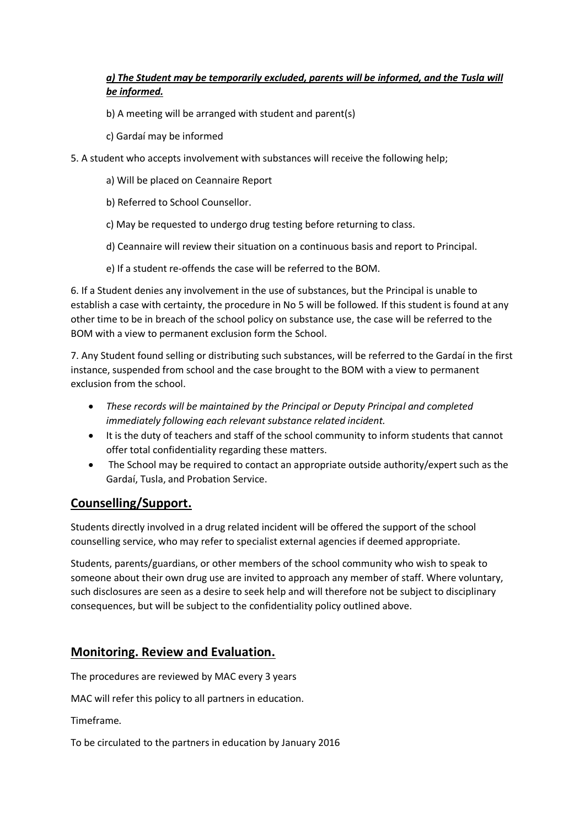### *a) The Student may be temporarily excluded, parents will be informed, and the Tusla will be informed.*

- b) A meeting will be arranged with student and parent(s)
- c) Gardaí may be informed
- 5. A student who accepts involvement with substances will receive the following help;
	- a) Will be placed on Ceannaire Report
	- b) Referred to School Counsellor.
	- c) May be requested to undergo drug testing before returning to class.
	- d) Ceannaire will review their situation on a continuous basis and report to Principal.
	- e) If a student re-offends the case will be referred to the BOM.

6. If a Student denies any involvement in the use of substances, but the Principal is unable to establish a case with certainty, the procedure in No 5 will be followed. If this student is found at any other time to be in breach of the school policy on substance use, the case will be referred to the BOM with a view to permanent exclusion form the School.

7. Any Student found selling or distributing such substances, will be referred to the Gardaí in the first instance, suspended from school and the case brought to the BOM with a view to permanent exclusion from the school.

- *These records will be maintained by the Principal or Deputy Principal and completed immediately following each relevant substance related incident.*
- It is the duty of teachers and staff of the school community to inform students that cannot offer total confidentiality regarding these matters.
- The School may be required to contact an appropriate outside authority/expert such as the Gardaí, Tusla, and Probation Service.

# **Counselling/Support.**

Students directly involved in a drug related incident will be offered the support of the school counselling service, who may refer to specialist external agencies if deemed appropriate.

Students, parents/guardians, or other members of the school community who wish to speak to someone about their own drug use are invited to approach any member of staff. Where voluntary, such disclosures are seen as a desire to seek help and will therefore not be subject to disciplinary consequences, but will be subject to the confidentiality policy outlined above.

# **Monitoring. Review and Evaluation.**

The procedures are reviewed by MAC every 3 years

MAC will refer this policy to all partners in education.

Timeframe.

To be circulated to the partners in education by January 2016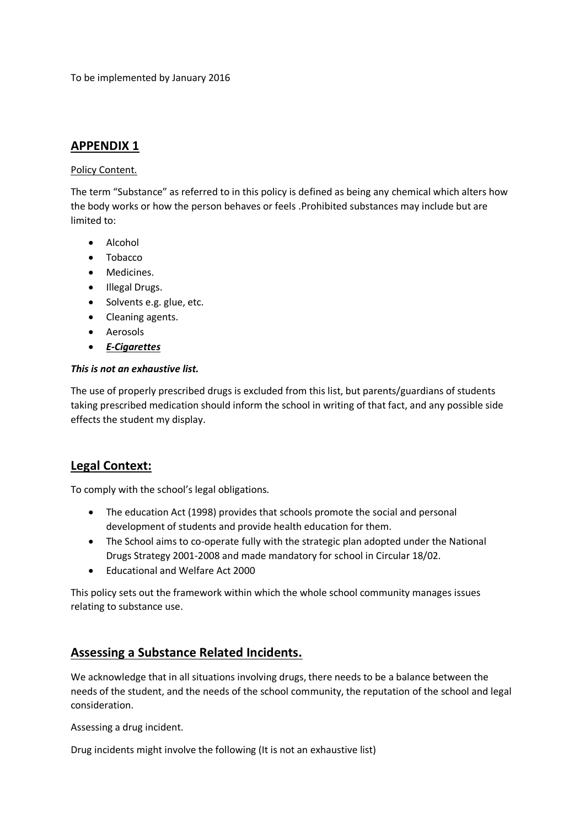To be implemented by January 2016

# **APPENDIX 1**

### Policy Content.

The term "Substance" as referred to in this policy is defined as being any chemical which alters how the body works or how the person behaves or feels .Prohibited substances may include but are limited to:

- Alcohol
- Tobacco
- Medicines.
- Illegal Drugs.
- Solvents e.g. glue, etc.
- Cleaning agents.
- Aerosols
- *E-Cigarettes*

### *This is not an exhaustive list.*

The use of properly prescribed drugs is excluded from this list, but parents/guardians of students taking prescribed medication should inform the school in writing of that fact, and any possible side effects the student my display.

# **Legal Context:**

To comply with the school's legal obligations.

- The education Act (1998) provides that schools promote the social and personal development of students and provide health education for them.
- The School aims to co-operate fully with the strategic plan adopted under the National Drugs Strategy 2001-2008 and made mandatory for school in Circular 18/02.
- Educational and Welfare Act 2000

This policy sets out the framework within which the whole school community manages issues relating to substance use.

# **Assessing a Substance Related Incidents.**

We acknowledge that in all situations involving drugs, there needs to be a balance between the needs of the student, and the needs of the school community, the reputation of the school and legal consideration.

Assessing a drug incident.

Drug incidents might involve the following (It is not an exhaustive list)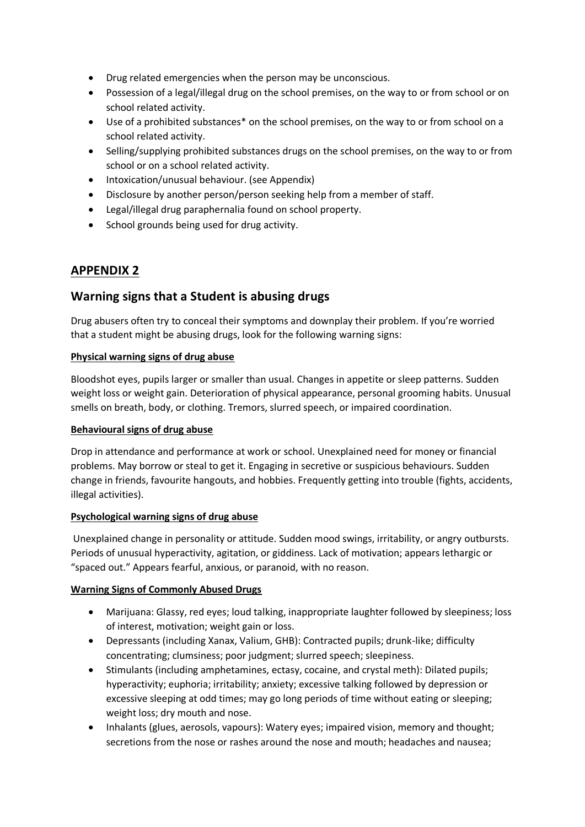- Drug related emergencies when the person may be unconscious.
- Possession of a legal/illegal drug on the school premises, on the way to or from school or on school related activity.
- Use of a prohibited substances\* on the school premises, on the way to or from school on a school related activity.
- Selling/supplying prohibited substances drugs on the school premises, on the way to or from school or on a school related activity.
- Intoxication/unusual behaviour. (see Appendix)
- Disclosure by another person/person seeking help from a member of staff.
- Legal/illegal drug paraphernalia found on school property.
- School grounds being used for drug activity.

### **APPENDIX 2**

# **Warning signs that a Student is abusing drugs**

Drug abusers often try to conceal their symptoms and downplay their problem. If you're worried that a student might be abusing drugs, look for the following warning signs:

#### **Physical warning signs of drug abuse**

Bloodshot eyes, pupils larger or smaller than usual. Changes in appetite or sleep patterns. Sudden weight loss or weight gain. Deterioration of physical appearance, personal grooming habits. Unusual smells on breath, body, or clothing. Tremors, slurred speech, or impaired coordination.

### **Behavioural signs of drug abuse**

Drop in attendance and performance at work or school. Unexplained need for money or financial problems. May borrow or steal to get it. Engaging in secretive or suspicious behaviours. Sudden change in friends, favourite hangouts, and hobbies. Frequently getting into trouble (fights, accidents, illegal activities).

### **Psychological warning signs of drug abuse**

Unexplained change in personality or attitude. Sudden mood swings, irritability, or angry outbursts. Periods of unusual hyperactivity, agitation, or giddiness. Lack of motivation; appears lethargic or "spaced out." Appears fearful, anxious, or paranoid, with no reason.

### **Warning Signs of Commonly Abused Drugs**

- Marijuana: Glassy, red eyes; loud talking, inappropriate laughter followed by sleepiness; loss of interest, motivation; weight gain or loss.
- Depressants (including Xanax, Valium, GHB): Contracted pupils; drunk-like; difficulty concentrating; clumsiness; poor judgment; slurred speech; sleepiness.
- Stimulants (including amphetamines, ectasy, cocaine, and crystal meth): Dilated pupils; hyperactivity; euphoria; irritability; anxiety; excessive talking followed by depression or excessive sleeping at odd times; may go long periods of time without eating or sleeping; weight loss; dry mouth and nose.
- Inhalants (glues, aerosols, vapours): Watery eyes; impaired vision, memory and thought; secretions from the nose or rashes around the nose and mouth; headaches and nausea;